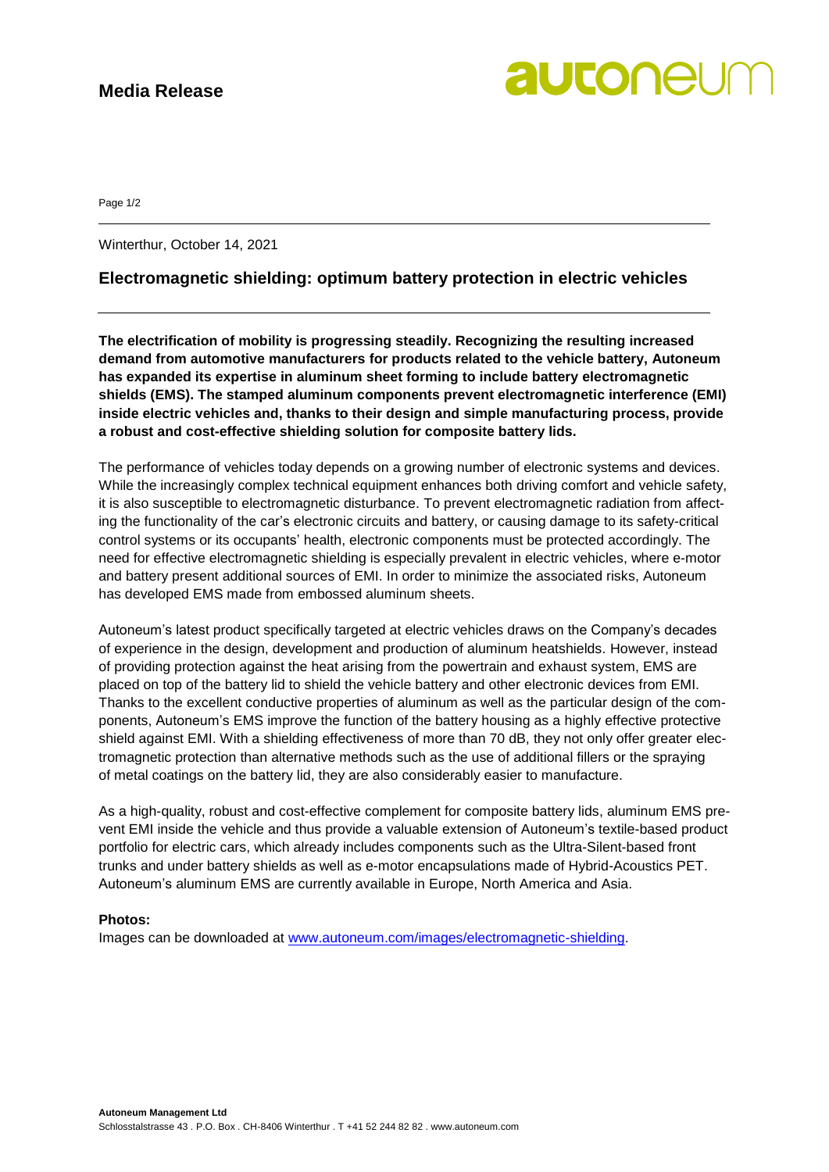## **Media Release**

# autonel

Page 1/2

Winterthur, October 14, 2021

## **Electromagnetic shielding: optimum battery protection in electric vehicles**

**The electrification of mobility is progressing steadily. Recognizing the resulting increased demand from automotive manufacturers for products related to the vehicle battery, Autoneum has expanded its expertise in aluminum sheet forming to include battery electromagnetic shields (EMS). The stamped aluminum components prevent electromagnetic interference (EMI) inside electric vehicles and, thanks to their design and simple manufacturing process, provide a robust and cost-effective shielding solution for composite battery lids.**

The performance of vehicles today depends on a growing number of electronic systems and devices. While the increasingly complex technical equipment enhances both driving comfort and vehicle safety, it is also susceptible to electromagnetic disturbance. To prevent electromagnetic radiation from affecting the functionality of the car's electronic circuits and battery, or causing damage to its safety-critical control systems or its occupants' health, electronic components must be protected accordingly. The need for effective electromagnetic shielding is especially prevalent in electric vehicles, where e-motor and battery present additional sources of EMI. In order to minimize the associated risks, Autoneum has developed EMS made from embossed aluminum sheets.

Autoneum's latest product specifically targeted at electric vehicles draws on the Company's decades of experience in the design, development and production of aluminum heatshields. However, instead of providing protection against the heat arising from the powertrain and exhaust system, EMS are placed on top of the battery lid to shield the vehicle battery and other electronic devices from EMI. Thanks to the excellent conductive properties of aluminum as well as the particular design of the components, Autoneum's EMS improve the function of the battery housing as a highly effective protective shield against EMI. With a shielding effectiveness of more than 70 dB, they not only offer greater electromagnetic protection than alternative methods such as the use of additional fillers or the spraying of metal coatings on the battery lid, they are also considerably easier to manufacture.

As a high-quality, robust and cost-effective complement for composite battery lids, aluminum EMS prevent EMI inside the vehicle and thus provide a valuable extension of Autoneum's textile-based product portfolio for electric cars, which already includes components such as the Ultra-Silent-based front trunks and under battery shields as well as e-motor encapsulations made of Hybrid-Acoustics PET. Autoneum's aluminum EMS are currently available in Europe, North America and Asia.

### **Photos:**

Images can be downloaded at [www.autoneum.com/images/electromagnetic-shielding.](http://www.autoneum.com/images/electromagnetic-shielding)